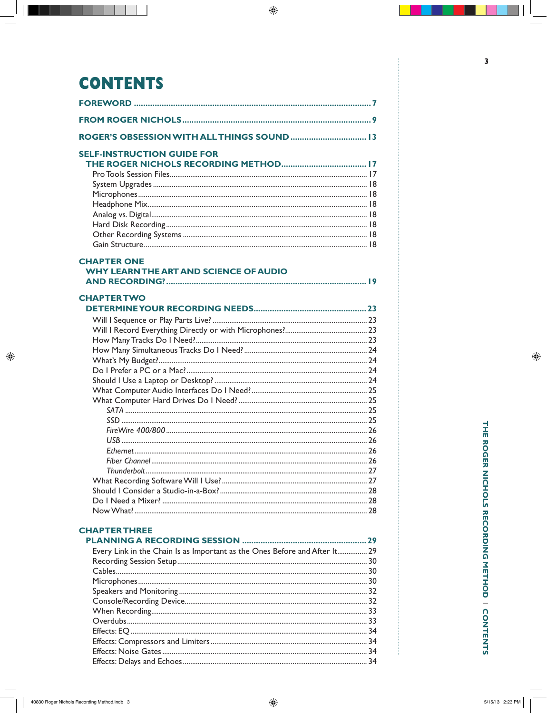# **CONTENTS**

| ROGER'S OBSESSION WITH ALL THINGS SOUND  13                                |  |
|----------------------------------------------------------------------------|--|
| <b>SELF-INSTRUCTION GUIDE FOR</b>                                          |  |
|                                                                            |  |
|                                                                            |  |
|                                                                            |  |
|                                                                            |  |
|                                                                            |  |
|                                                                            |  |
|                                                                            |  |
|                                                                            |  |
| <b>CHAPTER ONE</b>                                                         |  |
| <b>WHY LEARN THE ART AND SCIENCE OF AUDIO</b>                              |  |
|                                                                            |  |
| <b>CHAPTER TWO</b>                                                         |  |
|                                                                            |  |
|                                                                            |  |
|                                                                            |  |
|                                                                            |  |
|                                                                            |  |
|                                                                            |  |
|                                                                            |  |
|                                                                            |  |
|                                                                            |  |
|                                                                            |  |
|                                                                            |  |
|                                                                            |  |
|                                                                            |  |
|                                                                            |  |
|                                                                            |  |
|                                                                            |  |
|                                                                            |  |
|                                                                            |  |
|                                                                            |  |
|                                                                            |  |
| <b>CHAPTERTHREE</b>                                                        |  |
|                                                                            |  |
| Every Link in the Chain Is as Important as the Ones Before and After It 29 |  |
|                                                                            |  |
|                                                                            |  |
|                                                                            |  |
|                                                                            |  |
|                                                                            |  |
|                                                                            |  |
|                                                                            |  |
|                                                                            |  |
|                                                                            |  |
|                                                                            |  |
|                                                                            |  |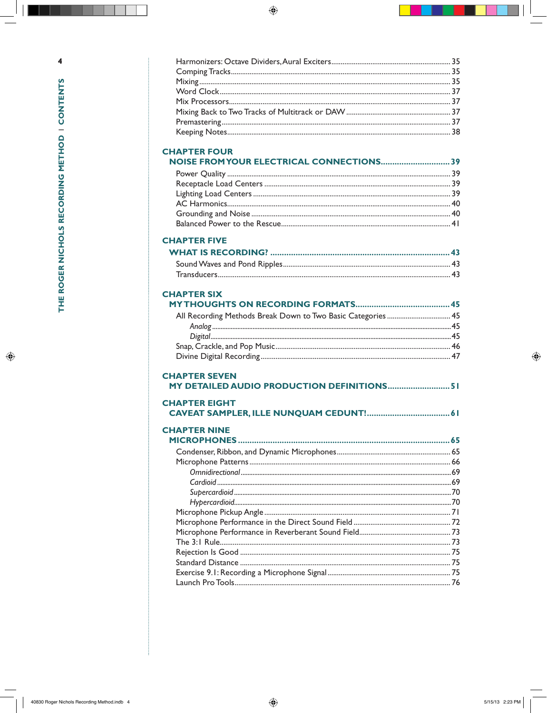# **CHAPTER FOUR**

| NOISE FROM YOUR ELECTRICAL CONNECTIONS39 |  |
|------------------------------------------|--|
|                                          |  |
|                                          |  |
|                                          |  |
|                                          |  |
|                                          |  |
|                                          |  |

#### **CHAPTER FIVE**

### **CHAPTER SIX**

| <b>CHAPTER SEVEN</b>                        |  |  |
|---------------------------------------------|--|--|
| MY DETAILED AUDIO PRODUCTION DEFINITIONS 51 |  |  |

#### **CHAPTER EIGHT**

| <b>CHAPTER NINE</b> |  |
|---------------------|--|
|                     |  |
|                     |  |
|                     |  |
|                     |  |
|                     |  |
|                     |  |
|                     |  |
|                     |  |
|                     |  |
|                     |  |
|                     |  |
|                     |  |
|                     |  |
|                     |  |
|                     |  |
|                     |  |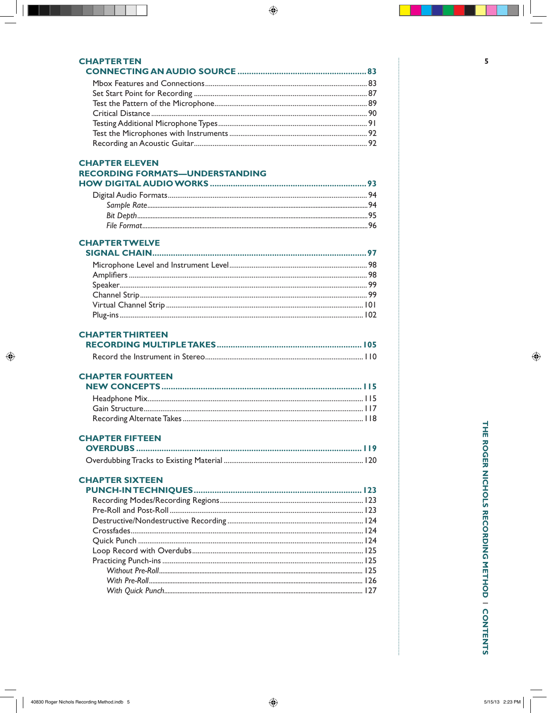#### **CHAPTERTEN**

#### **CHAPTER ELEVEN RECORDING FORMATS-UNDERSTANDING HOW DIGITAL AUDIO WORKS**

#### **CHAPTER TWELVE**

#### **CHAPTER THIRTEEN**

### **CHAPTER FOURTEEN**

## **CHAPTER FIFTEEN**

## **CHAPTER SIXTEEN**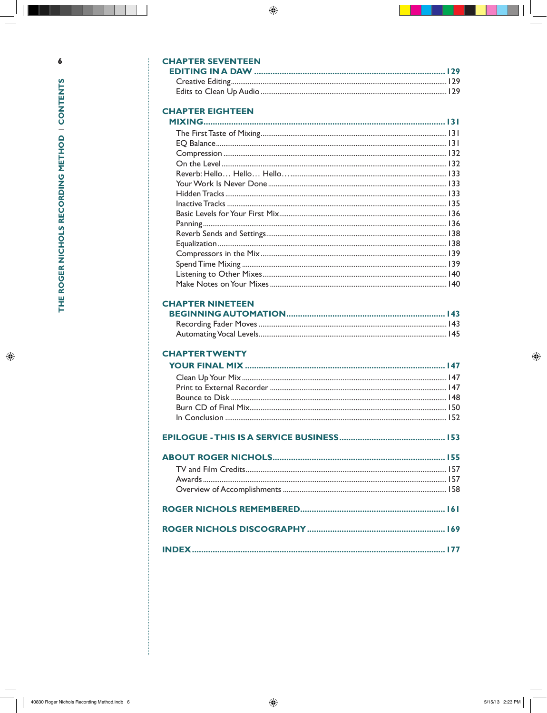## **CHAPTER SEVENTEEN**

# **CHAPTER EIGHTEEN**

## **CHAPTER NINETEEN**

### **CHAPTER TWENTY**

#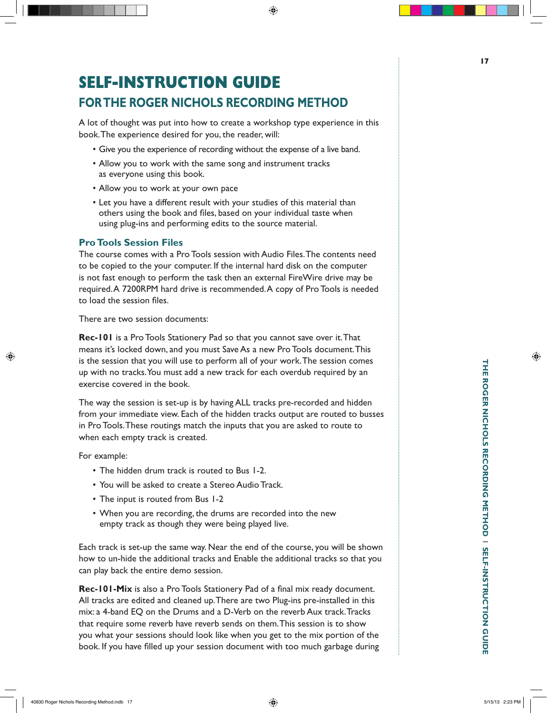# **Self-Instruction Guide for The Roger Nichols Recording Method**

A lot of thought was put into how to create a workshop type experience in this book. The experience desired for you, the reader, will:

- Give you the experience of recording without the expense of a live band.
- Allow you to work with the same song and instrument tracks as everyone using this book.
- Allow you to work at your own pace
- Let you have a different result with your studies of this material than others using the book and files, based on your individual taste when using plug-ins and performing edits to the source material.

#### **Pro Tools Session Files**

The course comes with a Pro Tools session with Audio Files. The contents need to be copied to the your computer. If the internal hard disk on the computer is not fast enough to perform the task then an external FireWire drive may be required. A 7200RPM hard drive is recommended. A copy of Pro Tools is needed to load the session files.

There are two session documents:

**Rec-101** is a Pro Tools Stationery Pad so that you cannot save over it. That means it's locked down, and you must Save As a new Pro Tools document. This is the session that you will use to perform all of your work. The session comes up with no tracks. You must add a new track for each overdub required by an exercise covered in the book.

The way the session is set-up is by having ALL tracks pre-recorded and hidden from your immediate view. Each of the hidden tracks output are routed to busses in Pro Tools. These routings match the inputs that you are asked to route to when each empty track is created.

For example:

- The hidden drum track is routed to Bus 1-2.
- You will be asked to create a Stereo Audio Track.
- The input is routed from Bus 1-2
- When you are recording, the drums are recorded into the new empty track as though they were being played live.

Each track is set-up the same way. Near the end of the course, you will be shown how to un-hide the additional tracks and Enable the additional tracks so that you can play back the entire demo session.

**Rec-101-Mix** is also a Pro Tools Stationery Pad of a final mix ready document. All tracks are edited and cleaned up. There are two Plug-ins pre-installed in this mix: a 4-band EQ on the Drums and a D-Verb on the reverb Aux track. Tracks that require some reverb have reverb sends on them. This session is to show you what your sessions should look like when you get to the mix portion of the book. If you have filled up your session document with too much garbage during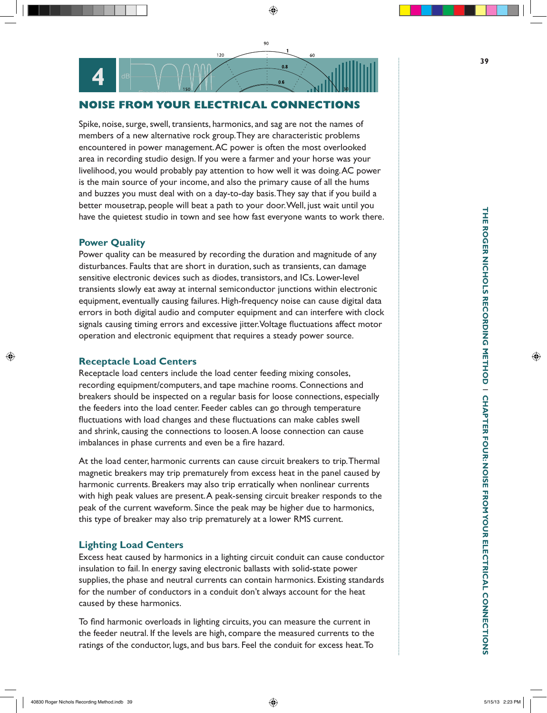## **NOISE FROM YOUR ELECTRICAL CONNECTIONS**

 $120$ 

90

 $60$ 

Spike, noise, surge, swell, transients, harmonics, and sag are not the names of members of a new alternative rock group. They are characteristic problems encountered in power management. AC power is often the most overlooked area in recording studio design. If you were a farmer and your horse was your livelihood, you would probably pay attention to how well it was doing. AC power is the main source of your income, and also the primary cause of all the hums and buzzes you must deal with on a day-to-day basis. They say that if you build a better mousetrap, people will beat a path to your door. Well, just wait until you have the quietest studio in town and see how fast everyone wants to work there. **RECOLUTE THE CONSERVATIVE AND THE CONSERVATIVE TO THE CONSERVATIVE TO THE CONSERVATIVE TO A THE CONSERVATIVE (CONSERVATIVE) THE CONSERVATIVE (CONSERVATIVE) (FOR THE CONSERVATIVE) (FOR THE CONSERVATIVE) (FOR THE CONSERVATI** 

#### **Power Quality**

Power quality can be measured by recording the duration and magnitude of any disturbances. Faults that are short in duration, such as transients, can damage sensitive electronic devices such as diodes, transistors, and ICs. Lower-level transients slowly eat away at internal semiconductor junctions within electronic equipment, eventually causing failures. High-frequency noise can cause digital data errors in both digital audio and computer equipment and can interfere with clock signals causing timing errors and excessive jitter. Voltage fluctuations affect motor operation and electronic equipment that requires a steady power source.

#### **Receptacle Load Centers**

**CHAPTER 1999** 

Receptacle load centers include the load center feeding mixing consoles, recording equipment/computers, and tape machine rooms. Connections and breakers should be inspected on a regular basis for loose connections, especially the feeders into the load center. Feeder cables can go through temperature fluctuations with load changes and these fluctuations can make cables swell and shrink, causing the connections to loosen. A loose connection can cause imbalances in phase currents and even be a fire hazard.

At the load center, harmonic currents can cause circuit breakers to trip. Thermal magnetic breakers may trip prematurely from excess heat in the panel caused by harmonic currents. Breakers may also trip erratically when nonlinear currents with high peak values are present. A peak-sensing circuit breaker responds to the peak of the current waveform. Since the peak may be higher due to harmonics, this type of breaker may also trip prematurely at a lower RMS current.

#### **Lighting Load Centers**

Excess heat caused by harmonics in a lighting circuit conduit can cause conductor insulation to fail. In energy saving electronic ballasts with solid-state power supplies, the phase and neutral currents can contain harmonics. Existing standards for the number of conductors in a conduit don't always account for the heat caused by these harmonics.

To find harmonic overloads in lighting circuits, you can measure the current in the feeder neutral. If the levels are high, compare the measured currents to the